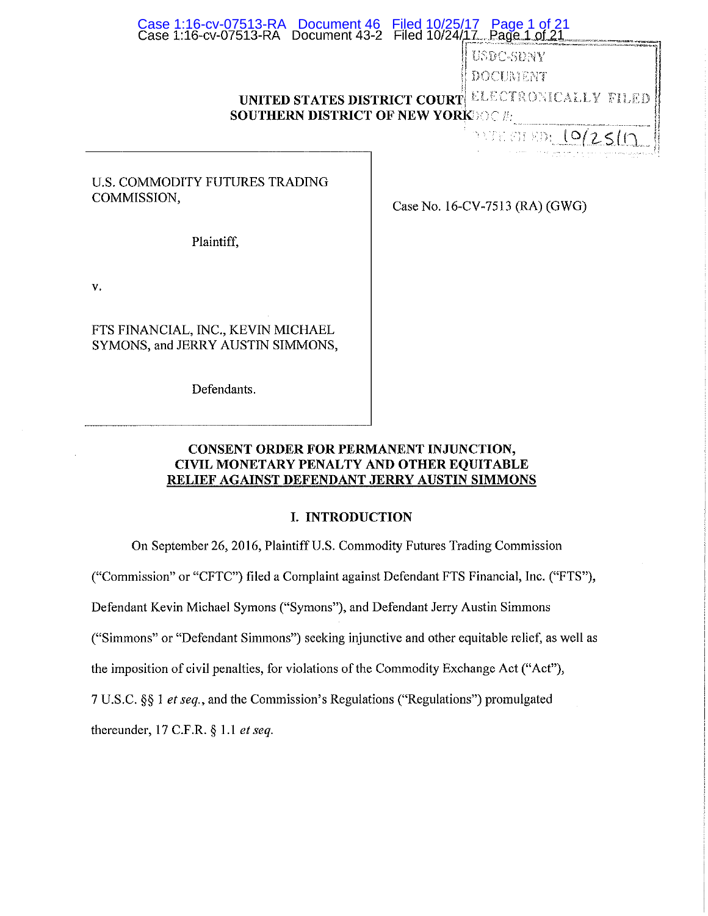## Case 1:16-cv-07513-RA Document 43-2 Filed 10/24/<u>17 Page 1 of 21</u> \_\_\_\_\_\_\_\_\_\_\_\_\_\_\_ Case 1:16-cv-07513-RA Document 46 Filed 10/25/17 Page 1 of 21

USDC-SDNY **DOCUMENT<br>TINITED STATES DISTRICT COURT! ELECTRON** ELECTRONICALI V FILED.

# **SOUTHERN DISTRICT OF NEW YORK•**  *<sup>r</sup>*" .. \_ ••• IJ

 $\frac{1}{2}$  of  $\frac{1}{2}$  in  $\frac{1}{2}$  in  $\frac{1}{2}$ 

## U.S. COMMODITY FUTURES TRADING COMMISSION,

Case No. 16-CV-7513 (RA) (GWG)

Plaintiff,

v,

FTS FINANCIAL, INC,, KEVIN MICHAEL SYMONS, and JERRY AUSTIN SIMMONS,

Defendants.

# **CONSENT ORDER FOR PERMANENT INJUNCTION, CIVIL MONETARY PENALTY AND OTHER EQUITABLE RELIEF AGAINST DEFENDANT JERRY AUSTIN SIMMONS**

# **I. INTRODUCTION**

On September 26, 2016, Plaintiff U.S. Commodity Futures Trading Commission

("Commission" or "CFTC") filed a Complaint against Defendant FTS Financial, Inc. ("FTS"),

Defendant Kevin Michael Symons ("Symons"), and Defendant Jerry Austin Simmons

("Simmons" or "Defendant Simmons") seeking injunctive and other equitable relief, as well as

the imposition of civil penalties, for violations of the Commodity Exchange Act ("Act"),

7 U.S.C. §§ 1 *et seq.,* and the Commission's Regulations ("Regulations") promulgated

thereunder, 17 C.F.R. § 1.1 *et seq.*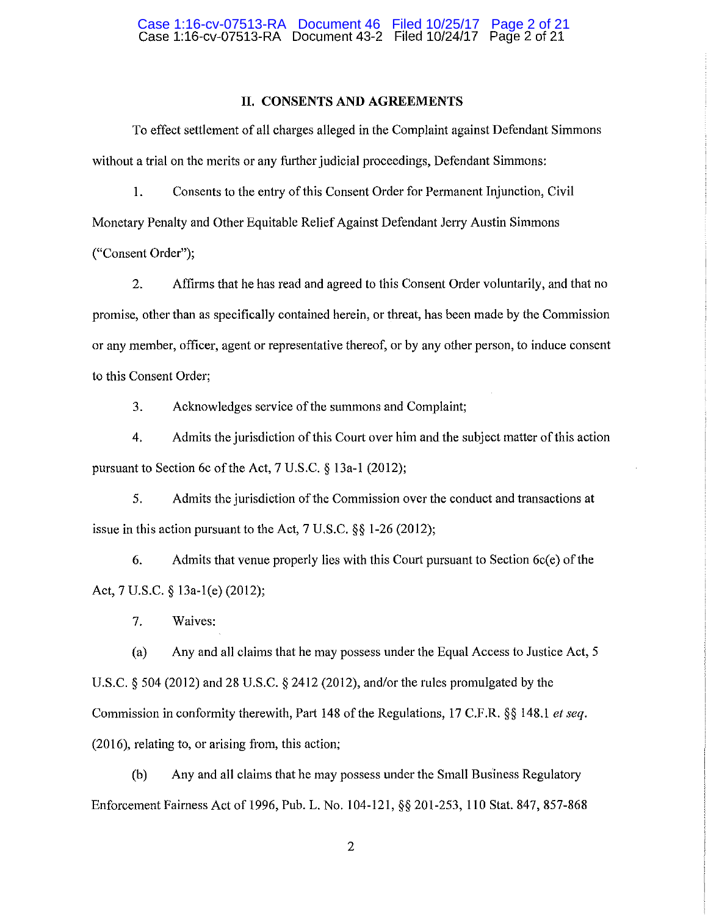#### **II. CONSENTS AND AGREEMENTS**

To effect settlement of all charges alleged in the Complaint against Defendant Simmons without a trial on the merits or any further judicial proceedings, Defendant Simmons:

1. Consents to the entry of this Consent Order for Permanent Injunction, Civil Monetary Penalty and Other Equitable Relief Against Defendant Jerry Austin Simmons ("Consent Order");

2. Affirms that he has read and agreed to this Consent Order voluntarily, and that no promise, other than as specifically contained herein, or threat, has been made by the Commission or any member, officer, agent or representative thereof, or by any other person, to induce consent to this Consent Order;

3. Acknowledges service of the summons and Complaint;

4. Admits the jurisdiction of this Court over him and the subject matter of this action pursuant to Section 6c of the Act, 7 U.S.C. § 13a-l (2012);

5. Admits the jurisdiction of the Commission over the conduct and transactions at issue in this action pursuant to the Act, 7 U.S.C. §§ 1-26 (2012);

6. Admits that venue properly lies with this Court pursuant to Section 6c(e) of the Act, 7 U.S.C. § 13a-l(e) (2012);

7. Waives:

(a) Any and all claims that he may possess under the Equal Access to Justice Act, 5 U.S.C. § 504 (2012) and 28 U.S.C. § 2412 (2012), and/or the rules promulgated by the Commission in conformity therewith, Part 148 of the Regulations, 17 C.F.R. §§ 148.l *et seq.*  (2016), relating to, or arising from, this action;

(b) Any and all claims that he may possess under the Small Business Regulatory Enforcement Fairness Act of 1996, Pub. L. No. 104-121, §§ 201-253, 110 Stat. 847, 857-868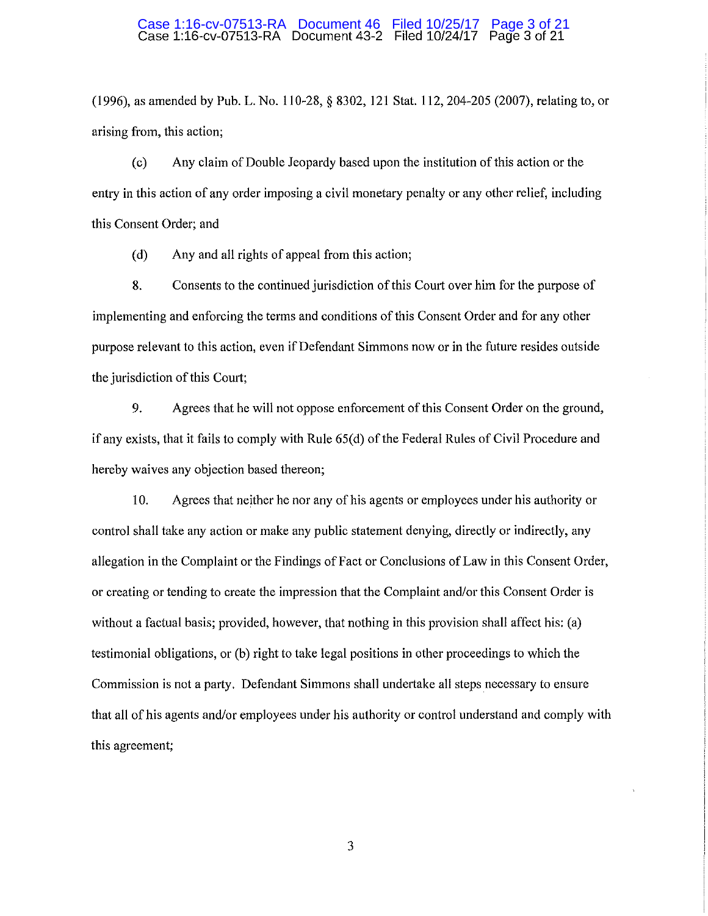# Case 1:16-cv-07513-RA Document 46 Filed 10/25/17 Page 3 of 21<br>Case 1:16-cv-07513-RA Document 43-2 Filed 10/24/17 Page 3 of 21

(1996), as amended by Pub. L. No. 110-28, § 8302, 121 Stat. 112, 204-205 (2007), relating to, or arising from, this action;

(c) Any claim of Double Jeopardy based upon the institution of this action or the entry in this action of any order imposing a civil monetary penalty or any other relief, including this Consent Order; and

( d) Any and all rights of appeal from this action;

8. Consents to the continued jurisdiction of this Court over him for the purpose of implementing and enforcing the terms and conditions of this Consent Order and for any other purpose relevant to this action, even if Defendant Simmons now or in the future resides outside the jurisdiction of this Court;

9. Agrees that he will not oppose enforcement of this Consent Order on the ground, if any exists, that it fails to comply with Rule 65(d) of the Federal Rules of Civil Procedure and hereby waives any objection based thereon;

10. Agrees that neither he nor any of his agents or employees under his authority or control shall take any action or make any public statement denying, directly or indirectly, any allegation in the Complaint or the Findings of Fact or Conclusions of Law in this Consent Order, or creating or tending to create the impression that the Complaint and/or this Consent Order is without a factual basis; provided, however, that nothing in this provision shall affect his: (a) testimonial obligations, or (b) right to take legal positions in other proceedings to which the Commission is not a party. Defendant Simmons shall undertake all steps necessary to ensure that all of his agents and/or employees under his authority or control understand and comply with this agreement;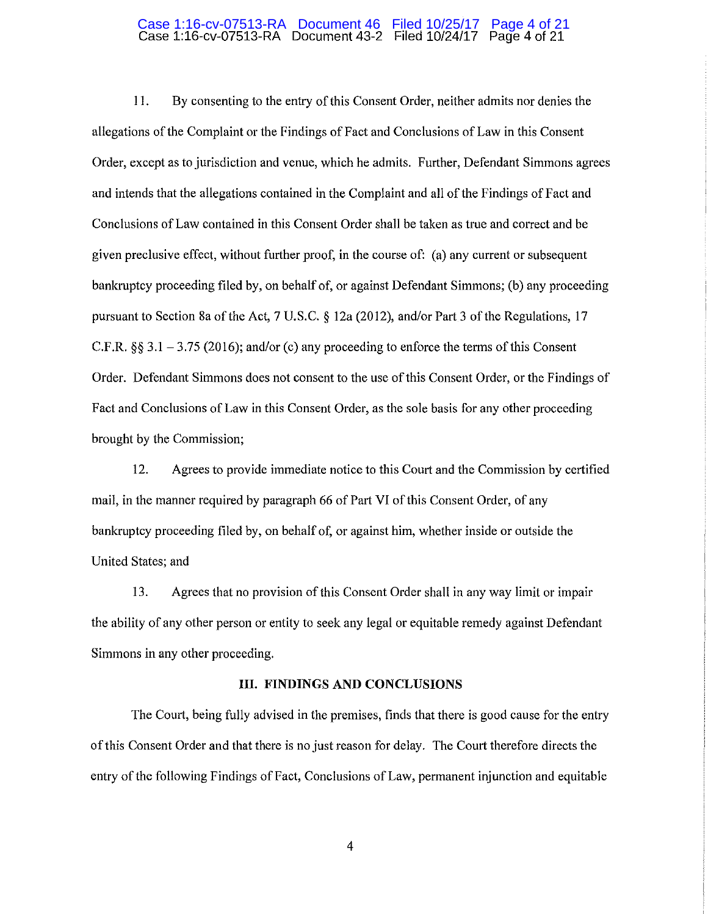# Case 1:16-cv-07513-RA Document 46 Filed 10/25/17 Page 4 of 21<br>Case 1:16-cv-07513-RA Document 43-2 Filed 10/24/17 Page 4 of 21

11. By consenting to the entry of this Consent Order, neither admits nor denies the allegations of the Complaint or the Findings of Fact and Conclusions of Law in this Consent Order, except as to jurisdiction and venue, which he admits. Further, Defendant Simmons agrees and intends that the allegations contained in the Complaint and all of the Findings of Fact and Conclusions of Law contained in this Consent Order shall be taken as true and correct and be given preclusive effect, without further proof, in the course of: (a) any current or subsequent bankruptcy proceeding filed by, on behalf of, or against Defendant Simmons; (b) any proceeding pursuant to Section Sa of the Act, 7 U.S.C. *§* 12a (2012), and/or Part 3 of the Regulations, 17 C.F.R. *§§* 3.1 -3.75 (2016); and/or (c) any proceeding to enforce the terms of this Consent Order. Defendant Simmons does not consent to the use of this Consent Order, or the Findings of Fact and Conclusions of Law in this Consent Order, as the sole basis for any other proceeding brought by the Commission;

12. Agrees to provide immediate notice to this Court and the Commission by certified mail, in the manner required by paragraph 66 of Part VI of this Consent Order, of any bankruptcy proceeding filed by, on behalf of, or against him, whether inside or outside the United States; and

13. Agrees that no provision of this Consent Order shall in any way limit or impair the ability of any other person or entity to seek any legal or equitable remedy against Defendant Simmons in any other proceeding.

#### **III. FINDINGS AND CONCLUSIONS**

The Court, being fully advised in the premises, finds that there is good cause for the entry of this Consent Order and that there is no just reason for delay. The Court therefore directs the entry of the following Findings of Fact, Conclusions of Law, permanent injunction and equitable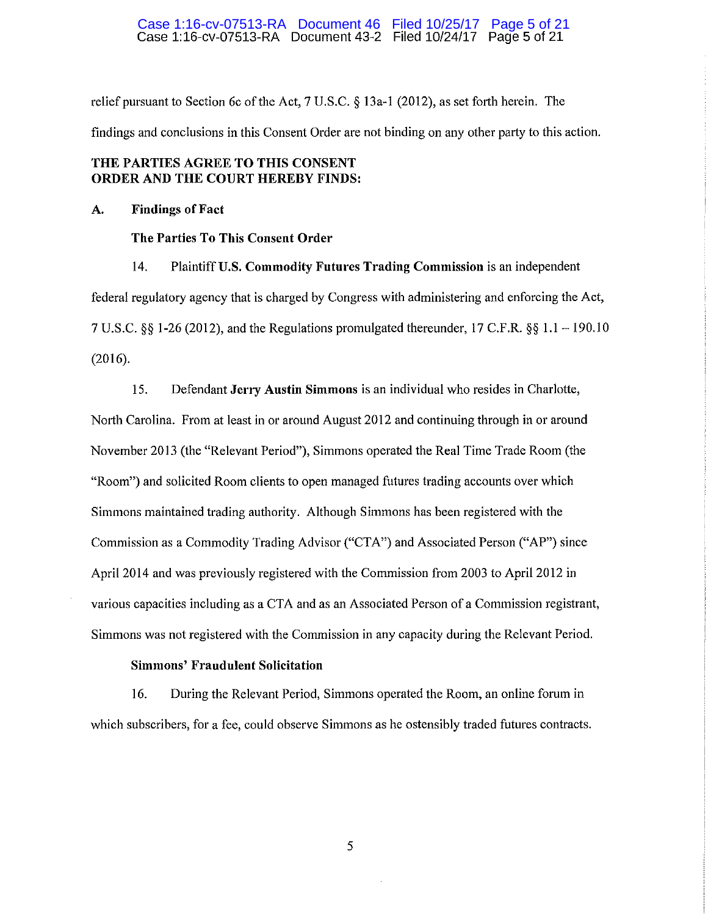#### Case 1:16-cv-07513-RA Document 43-2 Filed 10/24/17 Page 5 of 21 Case 1:16-cv-07513-RA Document 46 Filed 10/25/17 Page 5 of 21

relief pursuant to Section 6c of the Act, 7 U.S.C. *§* 13a-l (2012), as set forth herein. The findings and conclusions in this Consent Order are not binding on any other party to this action.

# **THE PARTIES AGREE TO THIS CONSENT ORDER AND THE COURT HEREBY FINDS:**

## **A. Findings of Fact**

## **The Parties To This Consent Order**

14. Plaintiff **U.S. Commodity Futures Trading Commission** is an independent federal regulatory agency that is charged by Congress with administering and enforcing the Act, 7 U.S.C. *§§* 1-26 (2012), and the Regulations promulgated thereunder, 17 C.F.R. *§§* 1.1-190.10 (2016).

15. Defendant **Jerry Austin Simmons** is an individual who resides in Charlotte, North Carolina. From at least in or around August 2012 and continuing through in or around November 2013 (the "Relevant Period"), Simmons operated the Real Time Trade Room (the "Room") and solicited Room clients to open managed futures trading accounts over which Simmons maintained trading authority. Although Simmons has been registered with the Commission as a Commodity Trading Advisor ("CT A'') and Associated Person ("AP") since April 2014 and was previously registered with the Commission from 2003 to April 2012 in various capacities including as a CTA and as an Associated Person of a Commission registrant, Simmons was not registered with the Commission in any capacity during the Relevant Period.

# **Simmons' Fraudulent Solicitation**

16. During the Relevant Period, Simmons operated the Room, an online forum in which subscribers, for a fee, could observe Simmons as he ostensibly traded futures contracts.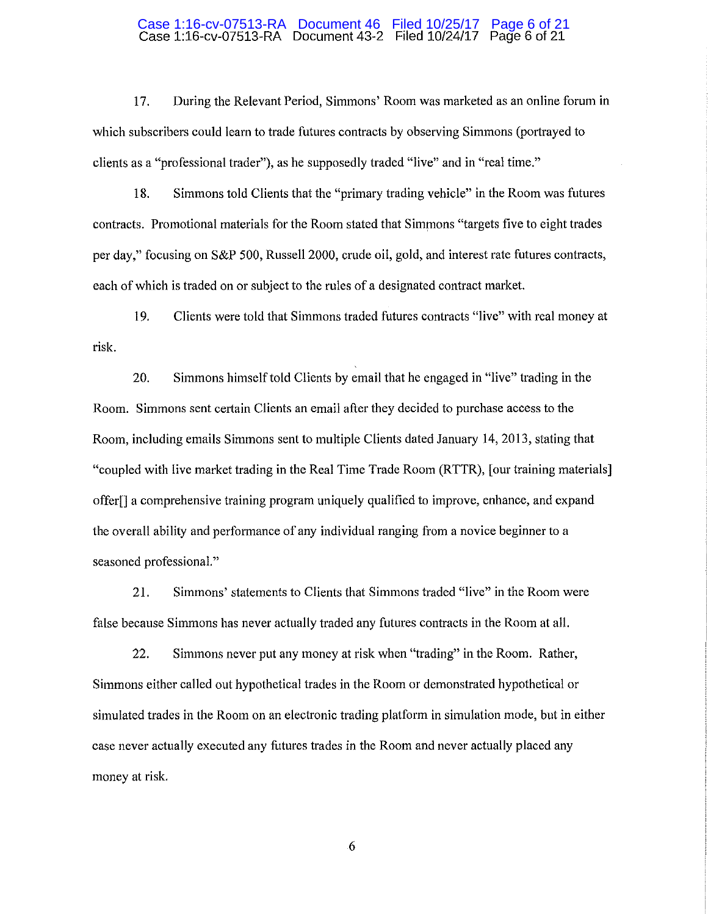# Case 1:16-cv-07513-RA Document 43-2 Filed 10/24/17 Page 6 of 21 Case 1:16-cv-07513-RA Document 46 Filed 10/25/17 Page 6 of 21

17. During the Relevant Period, Simmons' Room was marketed as an online forum in which subscribers could learn to trade futures contracts by observing Simmons (portrayed to clients as a "professional trader"), as he supposedly traded "live" and in "real time."

18. Simmons told Clients that the "primary trading vehicle" in the Room was futures contracts. Promotional materials for the Room stated that Simmons "targets five to eight trades per day," focusing on S&P 500, Russell 2000, crude oil, gold, and interest rate futures contracts, each of which is traded on or subject to the rules of a designated contract market.

19. Clients were told that Simmons traded futures contracts "live" with real money at risk.

20. Simmons himself told Clients by email that he engaged in "live" trading in the Room. Simmons sent certain Clients an email after they decided to purchase access to the Room, including emails Simmons sent to multiple Clients dated January 14, 2013, stating that "coupled with live market trading in the Real Time Trade Room (RTTR), [our training materials] offer[] a comprehensive training program uniquely qualified to improve, enhance, and expand the overall ability and performance of any individual ranging from a novice beginner to a seasoned professional."

21. Simmons' statements to Clients that Simmons traded "live" in the Room were false because Simmons has never actually traded any futures contracts in the Room at all.

22. Simmons never put any money at risk when "trading" in the Room. Rather, Simmons either called out hypothetical trades in the Room or demonstrated hypothetical or simulated trades in the Room on an electronic trading platform in simulation mode, but in either case never actually executed any futures trades in the Room and never actually placed any money at risk.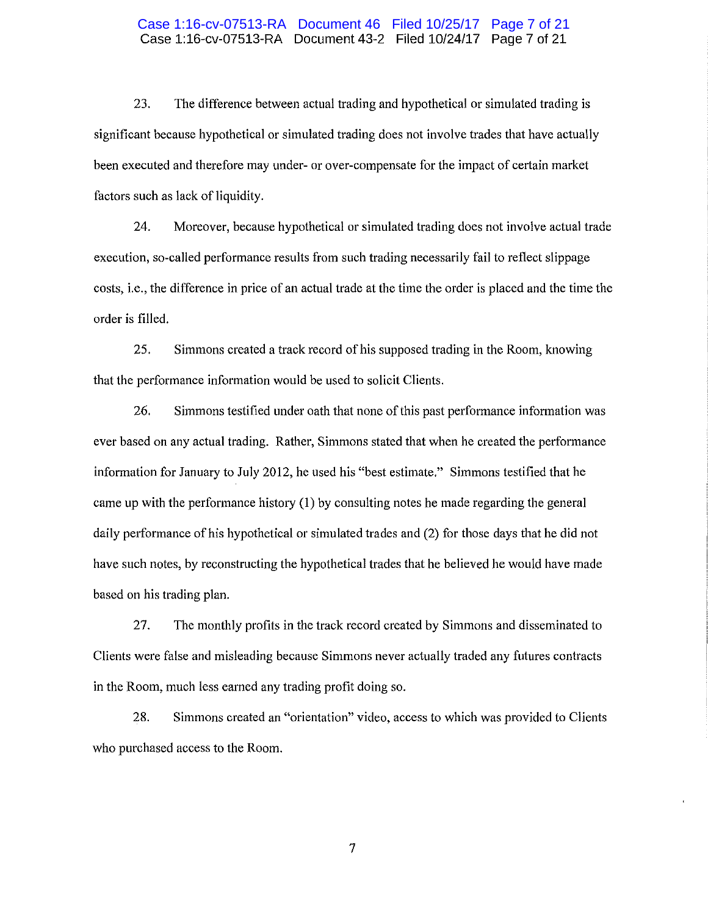### Case 1:16-cv-07513-RA Document 43-2 Filed 10/24/17 Page 7 of 21 Case 1:16-cv-07513-RA Document 46 Filed 10/25/17 Page 7 of 21

23. The difference between actual trading and hypothetical or simulated trading is significant because hypothetical or simulated trading does not involve trades that have actually been executed and therefore may under- or over-compensate for the impact of certain market factors such as lack of liquidity.

24. Moreover, because hypothetical or simulated trading does not involve actual trade execution, so-called performance results from such trading necessarily fail to reflect slippage costs, i.e., the difference in price of an actual trade at the time the order is placed and the time the order is filled.

25. Simmons created a track record of his supposed trading in the Room, knowing that the performance information would be used to solicit Clients.

26. Simmons testified under oath that none of this past performance information was ever based on any actual trading. Rather, Simmons stated that when he created the performance information for January to July 2012, he used his "best estimate." Simmons testified that he came up with the performance history (1) by consulting notes he made regarding the general daily performance of his hypothetical or simulated trades and (2) for those days that he did not have such notes, by reconstructing the hypothetical trades that he believed he would have made based on his trading plan.

27. The monthly profits in the track record created by Simmons and disseminated to Clients were false and misleading because Simmons never actually traded any futures contracts in the Room, much less earned any trading profit doing so.

28. Simmons created an "orientation" video, access to which was provided to Clients who purchased access to the Room.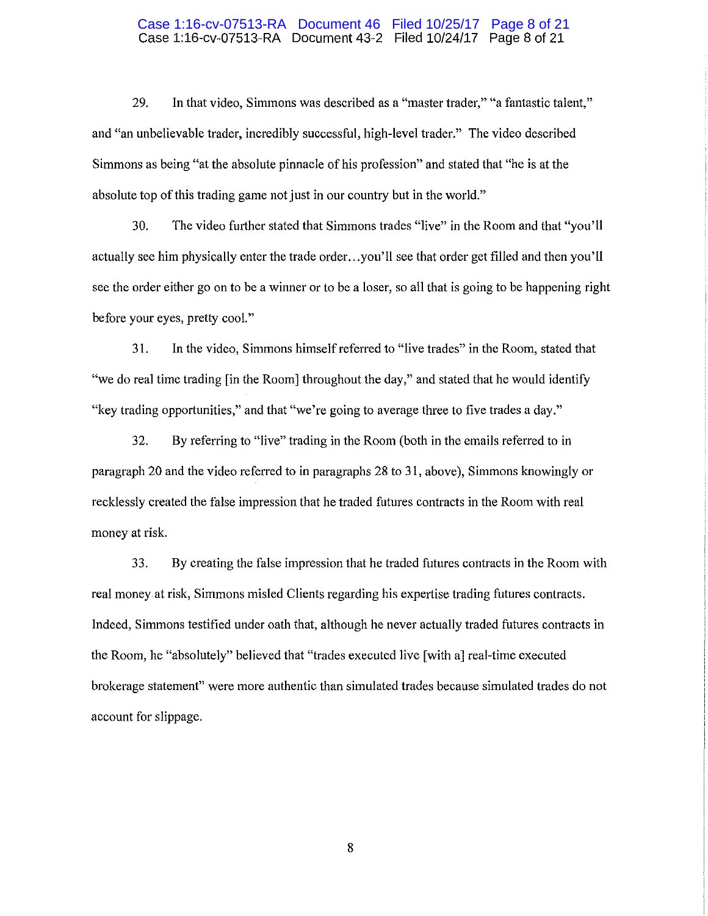#### Case 1:16-cv-07513-RA Document 43-2 Filed 10/24/17 Page 8 of 21 Case 1:16-cv-07513-RA Document 46 Filed 10/25/17 Page 8 of 21

29. In that video, Simmons was described as a "master trader," "a fantastic talent," and "an unbelievable trader, incredibly successful, high-level trader." The video described Simmons as being "at the absolute pinnacle of his profession" and stated that "he is at the absolute top of this trading game not just in our country but in the world."

30. The video further stated that Simmons trades "live" in the Room and that "you'll actually see him physically enter the trade order ... you'll see that order get filled and then you'll see the order either go on to be a winner or to be a loser, so all that is going to be happening right before your eyes, pretty cool."

31. In the video, Simmons himself referred to "live trades" in the Room, stated that "we do real time trading [in the Room) throughout the day," and stated that he would identify "key trading opportunities," and that "we're going to average three to five trades a day."

32. By referring to "live" trading in the Room (both in the emails referred to in paragraph 20 and the video referred to in paragraphs 28 to 31, above), Simmons knowingly or recklessly created the false impression that he traded futures contracts in the Room with real money at risk.

33. By creating the false impression that he traded futures contracts in the Room with real money at risk, Simmons misled Clients regarding his expertise trading futures contracts. Indeed, Simmons testified under oath that, although he never actually traded futures contracts in the Room, he "absolutely" believed that "trades executed live [with a) real-time executed brokerage statement" were more authentic than simulated trades because simulated trades do not account for slippage.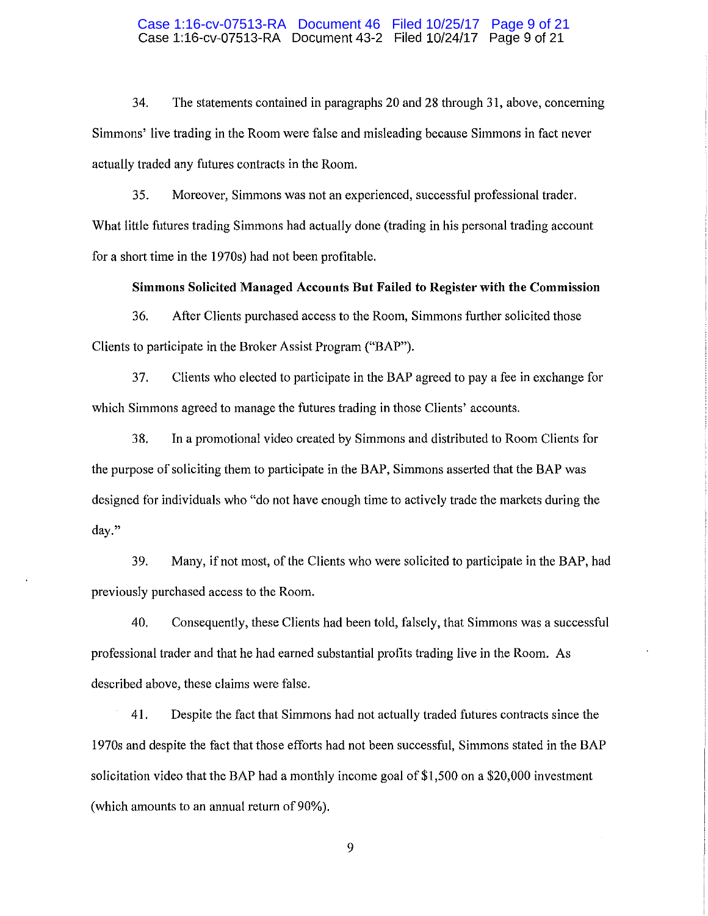#### Case 1:16-cv-07513-RA Document 43-2 Filed 10/24/17 Page 9 of 21 Case 1:16-cv-07513-RA Document 46 Filed 10/25/17 Page 9 of 21

34. The statements contained in paragraphs 20 and 28 through 31, above, concerning Simmons' live trading in the Room were false and misleading because Simmons in fact never actually traded any futures contracts in the Room.

35. Moreover, Simmons was not an experienced, successful professional trader. What little futures trading Simmons had actually done (trading in his personal trading account for a short time in the 1970s) had not been profitable.

## **Simmons Solicited Managed Accounts But Failed to Register with the Commission**

36. After Clients purchased access to the Room, Simmons further solicited those Clients to participate in the Broker Assist Program ("BAP").

37. Clients who elected to participate in the BAP agreed to pay a fee in exchange for which Simmons agreed to manage the futures trading in those Clients' accounts.

38. In a promotional video created by Simmons and distributed to Room Clients for the purpose of soliciting them to participate in the BAP, Simmons asserted that the BAP was designed for individuals who "do not have enough time to actively trade the markets during the day."

39. Many, if not most, of the Clients who were solicited to participate in the BAP, had previously purchased access to the Room.

40. Consequently, these Clients had been told, falsely, that Simmons was a successful professional trader and that he had earned substantial profits trading live in the Room. As described above, these claims were false.

41. Despite the fact that Simmons had not actually traded futures contracts since the 1970s and despite the fact that those efforts had not been successful, Simmons stated in the BAP solicitation video that the BAP had a monthly income goal of \$1,500 on a \$20,000 investment (which amounts to an annual return of 90%).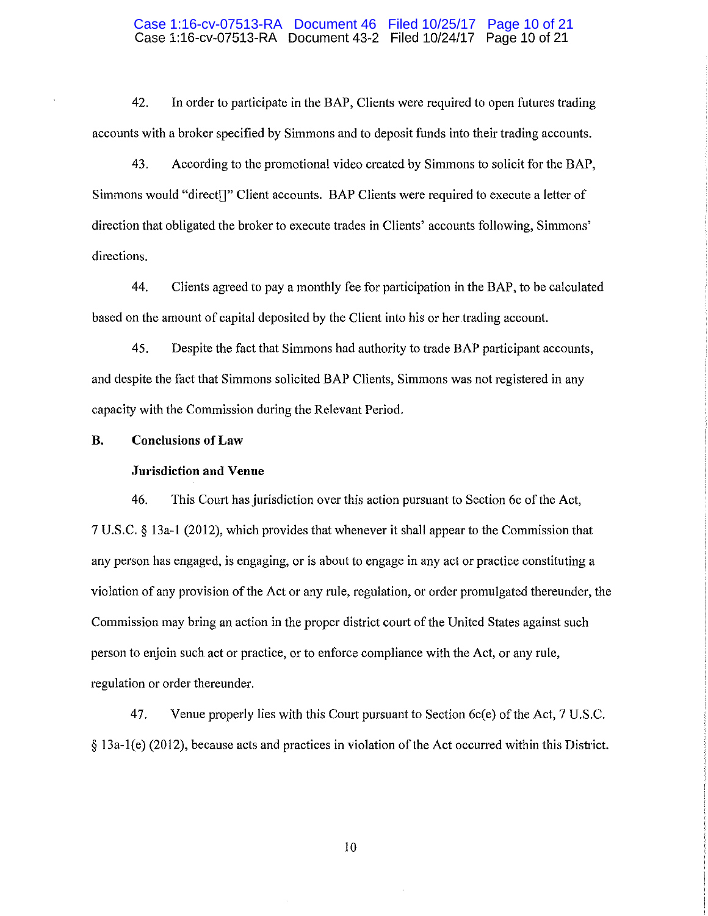#### Case 1:16-cv-07513-RA Document 43-2 Filed 10/24/17 Page 10 of 21 Case 1:16-cv-07513-RA Document 46 Filed 10/25/17 Page 10 of 21

42. In order to participate in the BAP, Clients were required to open futures trading accounts with a broker specified by Simmons and to deposit funds into their trading accounts.

43. According to the promotional video created by Simmons to solicit for the BAP, Simmons would "direct[]" Client accounts. BAP Clients were required to execute a letter of direction that obligated the broker to execute trades in Clients' accounts following, Simmons' directions.

44. Clients agreed to pay a monthly fee for participation in the BAP, to be calculated based on the amount of capital deposited by the Client into his or her trading account.

45. Despite the fact that Simmons had authority to trade BAP participant accounts, and despite the fact that Simmons solicited BAP Clients, Simmons was not registered in any capacity with the Commission during the Relevant Period.

## **B. Conclusions of Law**

#### **Jnrisdiction and Venue**

46. This Court has jurisdiction over this action pursuant to Section 6c of the Act, 7 U.S.C. § 13a-l (2012), which provides that whenever it shall appear to the Commission that any person has engaged, is engaging, or is about to engage in any act or practice constituting a violation of any provision of the Act or any rule, regulation, or order promulgated thereunder, the Commission may bring an action in the proper district court of the United States against such person to enjoin such act or practice, or to enforce compliance with the Act, or any rule, regulation or order thereunder.

47. Venue properly lies with this Court pursuant to Section 6c(e) of the Act, 7 U.S.C. § 13a-l(e) (2012), because acts and practices in violation of the Act occurred within this District.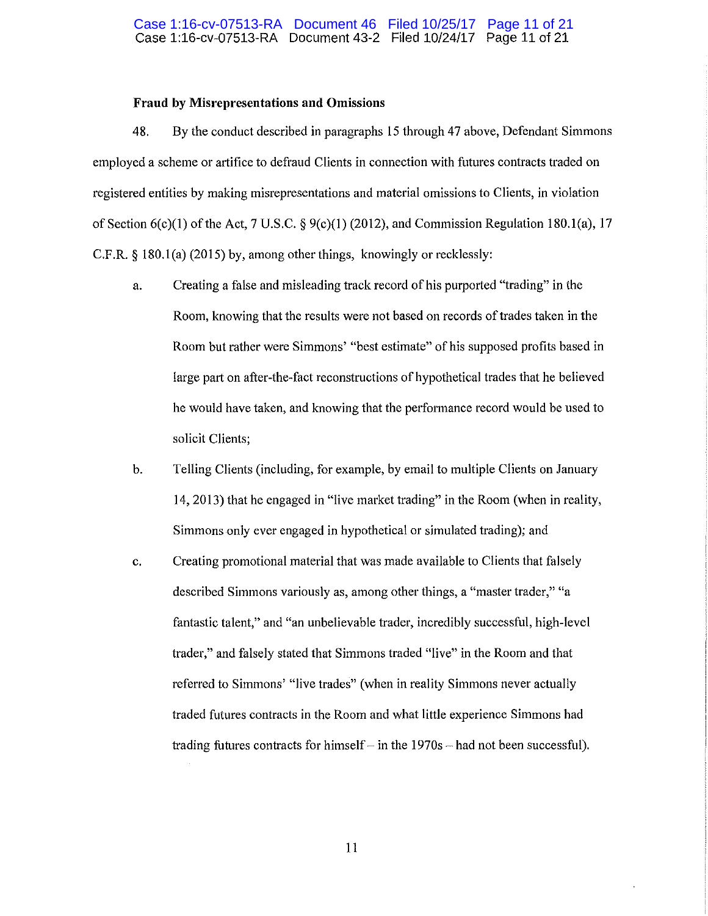## **Fraud by Misrepresentations and Omissions**

48. By the conduct described in paragraphs 15 through 47 above, Defendant Simmons employed a scheme or artifice to defraud Clients in connection with futures contracts traded on registered entities by making misrepresentations and material omissions to Clients, in violation of Section  $6(c)(1)$  of the Act, 7 U.S.C. §  $9(c)(1)$  (2012), and Commission Regulation 180.1(a), 17 C.F.R. § 180.l(a) (2015) by, among other things, knowingly or recklessly:

- a. Creating a false and misleading track record of his purported "trading" in the Room, knowing that the results were not based on records of trades taken in the Room but rather were Simmons' "best estimate" of his supposed profits based in large part on after-the-fact reconstructions of hypothetical trades that he believed he would have taken, and knowing that the performance record would be used to solicit Clients;
- b. Telling Clients (including, for example, by email to multiple Clients on January 14, 2013) that he engaged in "live market trading" in the Room (when in reality, Simmons only ever engaged in hypothetical or simulated trading); and
- c. Creating promotional material that was made available to Clients that falsely described Simmons variously as, among other things, a "master trader," "a fantastic talent," and "an unbelievable trader, incredibly successful, high-level trader," and falsely stated that Simmons traded "live" in the Room and that referred to Simmons' "live trades" (when in reality Simmons never actually traded futures contracts in the Room and what little experience Simmons had trading futures contracts for himself  $-$  in the 1970s  $-$  had not been successful).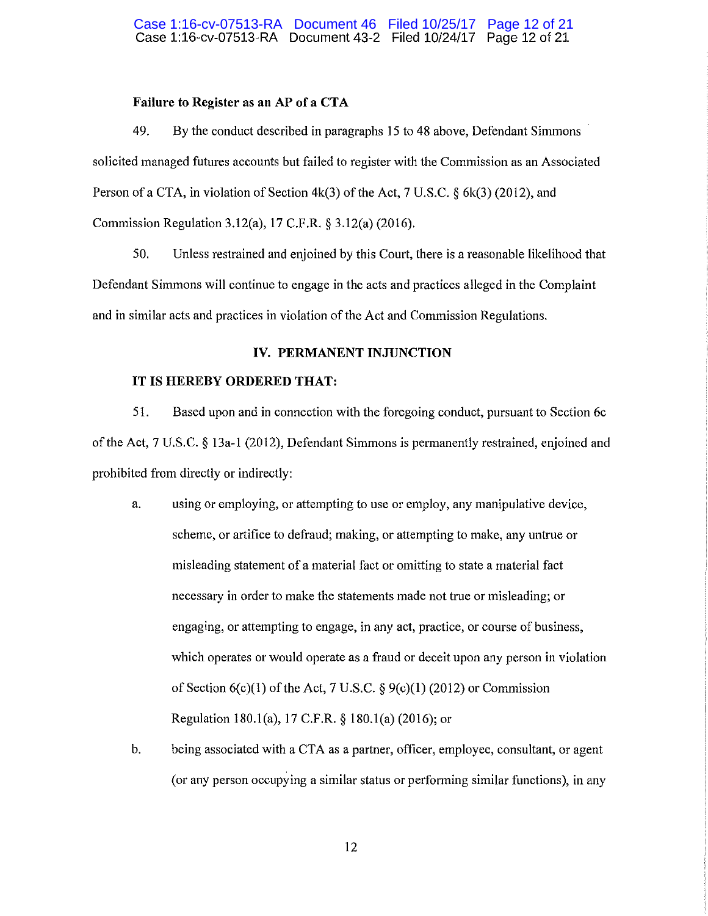## **Failure to Register as an AP of a CTA**

49. By the conduct described in paragraphs 15 to 48 above, Defendant Simmons solicited managed futures accounts but failed to register with the Commission as an Associated Person of a CTA, in violation of Section  $4k(3)$  of the Act, 7 U.S.C. § 6k(3) (2012), and Commission Regulation 3.12(a), 17 C.F.R. § 3.12(a) (2016).

50. Unless restrained and enjoined by this Court, there is a reasonable likelihood that Defendant Simmons will continue to engage in the acts and practices alleged in the Complaint and in similar acts and practices in violation of the Act and Commission Regulations.

## **IV. PERMANENT INJUNCTION**

## **IT IS HEREBY ORDERED THAT:**

51. Based upon and in connection with the foregoing conduct, pursuant to Section 6c of the Act, 7 U.S.C. § 13a-l (2012), Defendant Simmons is permanently restrained, enjoined and prohibited from directly or indirectly:

- a. using or employing, or attempting to use or employ, any manipulative device, scheme, or artifice to defraud; making, or attempting to make, any untrue or misleading statement of a material fact or omitting to state a material fact necessary in order to make the statements made not true or misleading; or engaging, or attempting to engage, in any act, practice, or course of business, which operates or would operate as a fraud or deceit upon any person in violation of Section  $6(c)(1)$  of the Act, 7 U.S.C.  $\S 9(c)(1)$  (2012) or Commission Regulation 180.l(a), 17 C.F.R. § 180.l(a) (2016); or
- b. being associated with a CTA as a partner, officer, employee, consultant, or agent (or any person occupying a similar status or performing similar functions), in any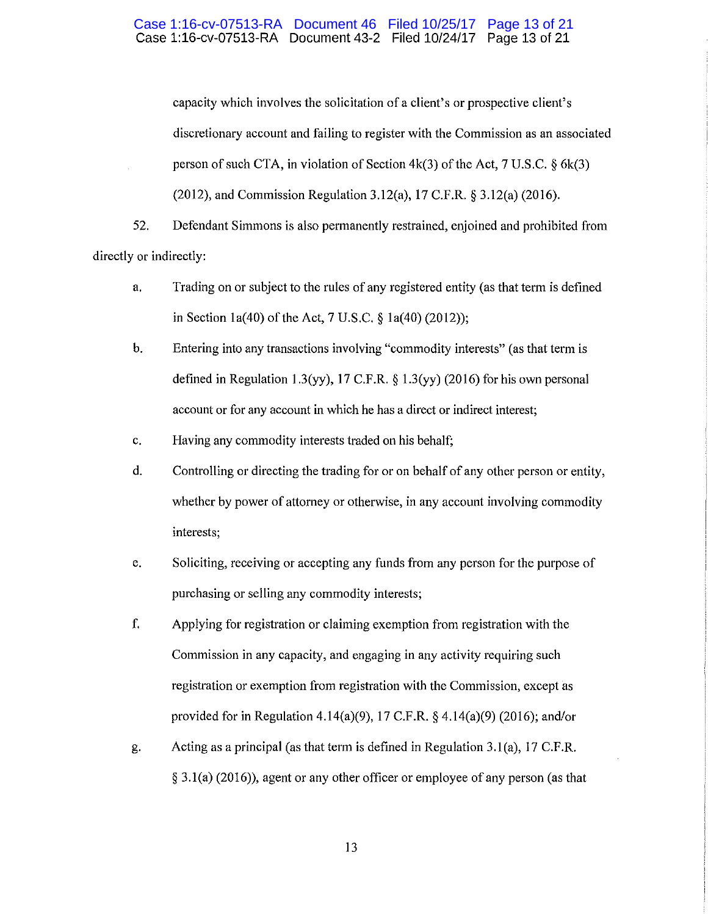#### Case 1:16-cv-07513-RA Document 43-2 Filed 10/24/17 Page 13 of 21 Case 1:16-cv-07513-RA Document 46 Filed 10/25/17 Page 13 of 21

capacity which involves the solicitation of a client's or prospective client's discretionary account and failing to register with the Commission as an associated person of such CTA, in violation of Section  $4k(3)$  of the Act, 7 U.S.C. § 6k(3) (2012), and Commission Regulation 3.12(a), 17 C.F.R. § 3.12(a) (2016).

52. Defendant Simmons is also permanently restrained, enjoined and prohibited from directly or indirectly:

- a. Trading on or subject to the rules of any registered entity (as that term is defined in Section la(40) of the Act, 7 U.S.C. § la(40) (2012));
- b. Entering into any transactions involving "commodity interests" (as that term is defined in Regulation 1.3(yy), 17 C.F.R.  $\S 1.3$ (yy) (2016) for his own personal account or for any account in which he has a direct or indirect interest;
- c. Having any commodity interests traded on his behalf;
- d. Controlling or directing the trading for or on behalf of any other person or entity, whether by power of attorney or otherwise, in any account involving commodity interests;
- e. Soliciting, receiving or accepting any funds from any person for the purpose of purchasing or selling any commodity interests;
- f. Applying for registration or claiming exemption from registration with the Commission in any capacity, and engaging in any activity requiring such registration or exemption from registration with the Commission, except as provided for in Regulation 4.14(a)(9), 17 C.F.R. § 4.14(a)(9) (2016); and/or
- g. Acting as a principal (as that term is defined in Regulation 3. l(a), 17 C.F.R. § 3.l(a) (2016)), agent or any other officer or employee of any person (as that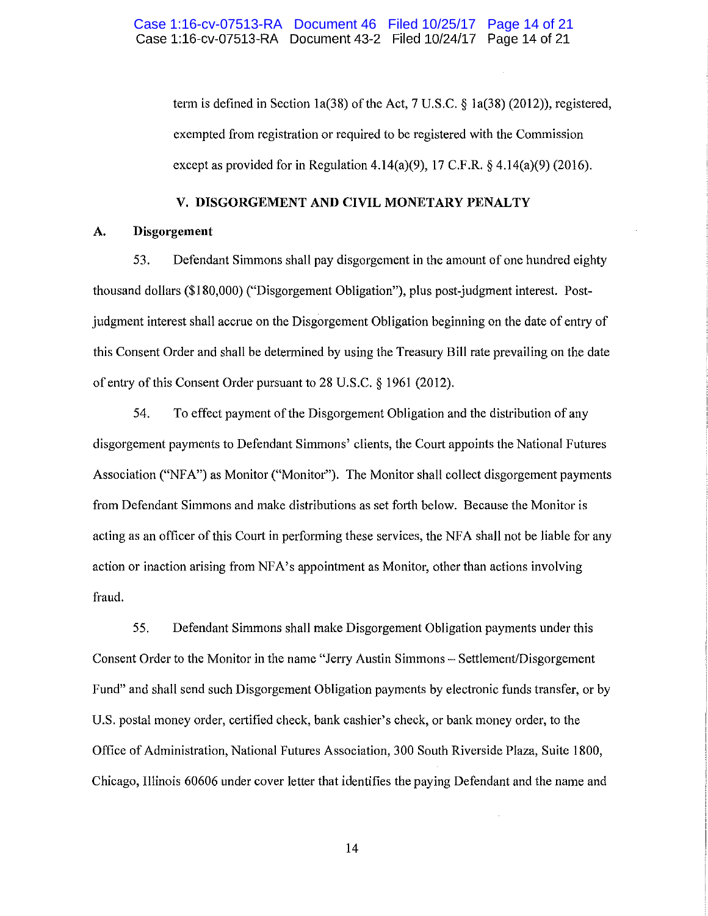term is defined in Section la(38) of the Act, 7 U.S.C. § la(38) (2012)), registered, exempted from registration or required to be registered with the Commission except as provided for in Regulation 4.14(a)(9), 17 C.F.R.  $\S$  4.14(a)(9) (2016).

### **V. DISGORGEMENT AND CIVIL MONETARY PENALTY**

## **A. Disgorgement**

53. Defendant Simmons shall pay disgorgement in the amount of one hundred eighty thousand dollars (\$180,000) ("Disgorgement Obligation"), plus post-judgment interest. Postjudgment interest shall accrue on the Disgorgement Obligation beginning on the date of entry of this Consent Order and shall be determined by using the Treasury Bill rate prevailing on the date of entry of this Consent Order pursuant to 28 U.S.C. § 1961 (2012).

54. To effect payment of the Disgorgement Obligation and the distribution of any disgorgement payments to Defendant Simmons' clients, the Court appoints the National Futures Association ("NFA") as Monitor ("Monitor"). The Monitor shall collect disgorgement payments from Defendant Simmons and make distributions as set forth below. Because the Monitor is acting as an officer of this Court in performing these services, the NFA shall not be liable for any action or inaction arising from NF A's appointment as Monitor, other than actions involving fraud.

55. Defendant Simmons shall make Disgorgement Obligation payments under this Consent Order to the Monitor in the name "Jerry Austin Simmons - Settlement/Disgorgement Fund" and shall send such Disgorgement Obligation payments by electronic funds transfer, or by U.S. postal money order, certified check, bank cashier's check, or bank money order, to the Office of Administration, National Futures Association, 300 South Riverside Plaza, Suite 1800, Chicago, Illinois 60606 under cover letter that identifies the paying Defendant and the name and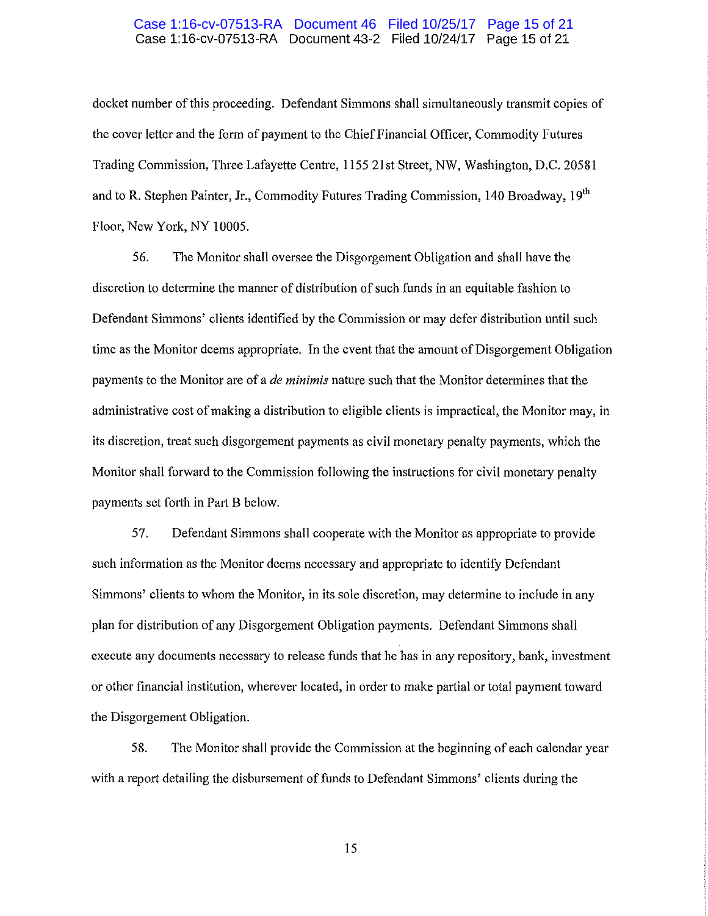#### Case 1:16-cv-07513-RA Document 43-2 Filed 10/24/17 Page 15 of 21 Case 1:16-cv-07513-RA Document 46 Filed 10/25/17 Page 15 of 21

docket number of this proceeding. Defendant Simmons shall simultaneously transmit copies of the cover letter and the form of payment to the Chief Financial Officer, Commodity Futures Trading Commission, Three Lafayette Centre, 1155 21st Street, NW, Washington, D.C. 20581 and to R. Stephen Painter, Jr., Commodity Futures Trading Commission, 140 Broadway, 19<sup>th</sup> Floor, New York, NY 10005.

56. The Monitor shall oversee the Disgorgement Obligation and shall have the discretion to determine the manner of distribution of such funds in an equitable fashion to Defendant Simmons' clients identified by the Commission or may defer distribution until such time as the Monitor deems appropriate. In the event that the amount of Disgorgement Obligation payments to the Monitor are of a *de minimis* nature such that the Monitor determines that the administrative cost of making a distribution to eligible clients is impractical, the Monitor may, in its discretion, treat such disgorgement payments as civil monetary penalty payments, which the Monitor shall forward to the Commission following the instructions for civil monetary penalty payments set forth in Part B below.

57. Defendant Simmons shall cooperate with the Monitor as appropriate to provide such information as the Monitor deems necessary and appropriate to identify Defendant Simmons' clients to whom the Monitor, in its sole discretion, may determine to include in any plan for distribution of any Disgorgement Obligation payments. Defendant Simmons shall execute any documents necessary to release funds that he has in any repository, bank, investment or other financial institution, wherever located, in order to make partial or total payment toward the Disgorgement Obligation.

58. The Monitor shall provide the Commission at the beginning of each calendar year with a report detailing the disbursement of funds to Defendant Simmons' clients during the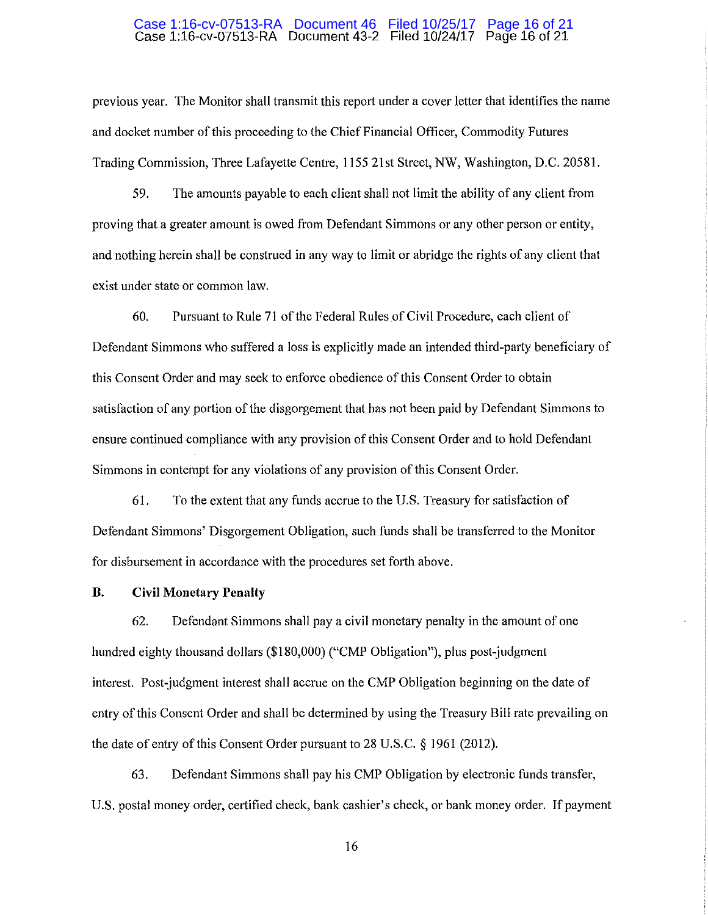#### Case 1:16-cv-07513-RA Document 43-2 Filed 10/24/17 Page 16 of 21 Case 1:16-cv-07513-RA Document 46 Filed 10/25/17 Page 16 of 21

previous year. The Monitor shall transmit this report under a cover letter that identifies the name and docket number of this proceeding to the Chief Financial Officer, Commodity Futures Trading Commission, Three Lafayette Centre, 1155 21st Street, NW, Washington, D.C. 20581.

59. The amounts payable to each client shall not limit the ability of any client from proving that a greater amount is owed from Defendant Simmons or any other person or entity, and nothing herein shall be construed in any way to limit or abridge the rights of any client that exist under state or common law.

60. Pursuant to Rule 71 of the Federal Rules of Civil Procedure, each client of Defendant Simmons who suffered a loss is explicitly made an intended third-party beneficiary of this Consent Order and may seek to enforce obedience of this Consent Order to obtain satisfaction of any portion of the disgorgement that has not been paid by Defendant Simmons to ensure continued compliance with any provision of this Consent Order and to hold Defendant Simmons in contempt for any violations of any provision of this Consent Order.

61. To the extent that any funds accrue to the U.S. Treasury for satisfaction of Defendant Simmons' Disgorgement Obligation, such funds shall be transferred to the Monitor for disbursement in accordance with the procedures set forth above.

## **B. Civil Monetary Penalty**

62. Defendant Simmons shall pay a civil monetary penalty in the amount of one hundred eighty thousand dollars (\$180,000) ("CMP Obligation"), plus post-judgment interest. Post-judgment interest shall accrue on the CMP Obligation beginning on the date of entry of this Consent Order and shall be determined by using the Treasury Bill rate prevailing on the date of entry of this Consent Order pursuant to 28 U.S.C. § 1961 (2012).

63. Defendant Simmons shall pay his CMP Obligation by electronic funds transfer, U.S. postal money order, certified check, bank cashier's check, or bank money order. If payment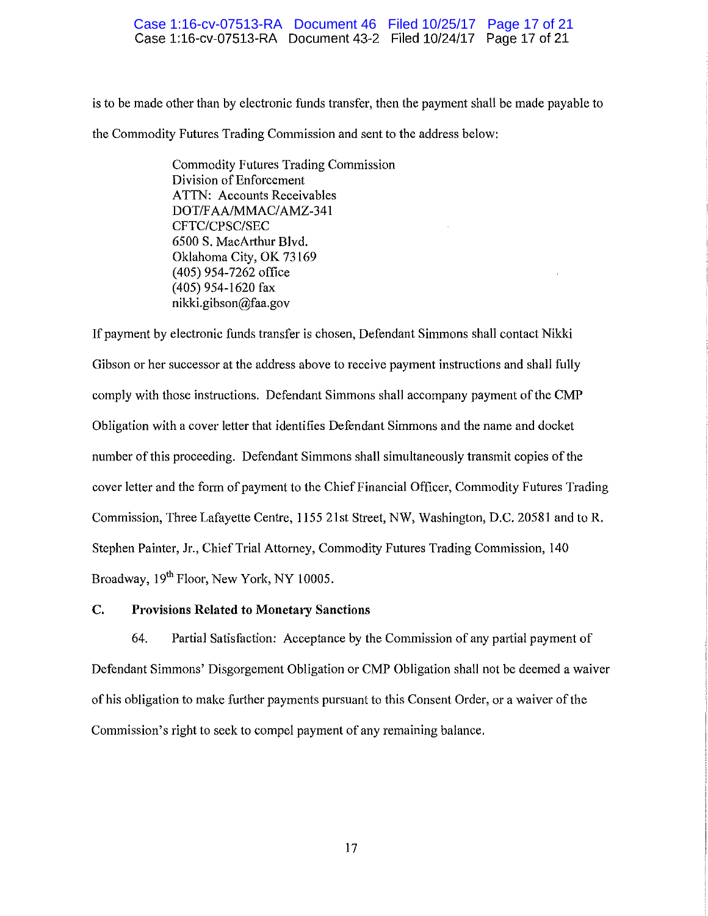### Case 1:16-cv-07513-RA Document 43-2 Filed 10/24/17 Page 17 of 21 Case 1:16-cv-07513-RA Document 46 Filed 10/25/17 Page 17 of 21

is to be made other than by electronic funds transfer, then the payment shall be made payable to the Commodity Futures Trading Commission and sent to the address below:

> Commodity Futures Trading Commission Division of Enforcement ATTN: Accounts Receivables DOT/FAA/MMAC/AMZ-341 CFTC/CPSC/SEC 6500 S. MacArthur Blvd. Oklahoma City, OK 73169 ( 405) 954-7262 office (405) 954-1620 fax nikki.gibson@faa.gov

If payment by electronic funds transfer is chosen, Defendant Simmons shall contact Nikki Gibson or her successor at the address above to receive payment instructions and shall fully comply with those instructions. Defendant Simmons shall accompany payment of the CMP Obligation with a cover letter that identifies Defendant Simmons and the name and docket number of this proceeding. Defendant Simmons shall simultaneously transmit copies of the cover letter and the form of payment to the Chief Financial Officer, Commodity Futures Trading Commission, Three Lafayette Centre, 1155 21st Street, NW, Washington, D.C. 20581 and to R. Stephen Painter, Jr., Chief Trial Attorney, Commodity Futures Trading Commission, 140 Broadway, 19<sup>th</sup> Floor, New York, NY 10005.

## **C. Provisions Related to Monetary Sanctions**

64. Partial Satisfaction: Acceptance by the Commission of any partial payment of Defendant Simmons' Disgorgement Obligation or CMP Obligation shall not be deemed a waiver of his obligation to make further payments pursuant to this Consent Order, or a waiver of the Commission's right to seek to compel payment of any remaining balance.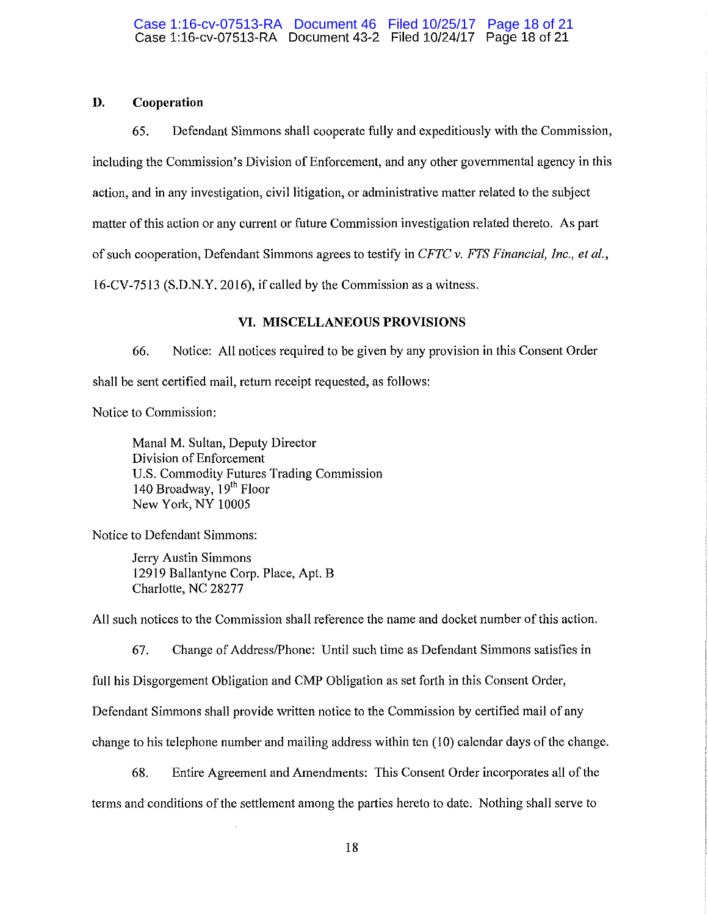## **D. Cooperation**

65. Defendant Simmons shall cooperate fully and expeditiously with the Commission, including the Commission's Division of Enforcement, and any other governmental agency in this action, and in any investigation, civil litigation, or administrative matter related to the subject matter of this action or any current or future Commission investigation related thereto. As part of such cooperation, Defendant Simmons agrees to testify in *CFTC v. FTS Financial, Inc., et al.,*  16-CV-7513 (S.D.N.Y. 2016), if called by the Commission as a witness.

# **VI. MISCELLANEOUS PROVISIONS**

66. Notice: All notices required to be given by any provision in this Consent Order shall be sent certified mail, return receipt requested, as follows:

Notice to Commission:

Mana! M. Sultan, Deputy Director Division of Enforcement U.S. Commodity Futures Trading Commission 140 Broadway, 19<sup>th</sup> Floor New York, NY 10005

Notice to Defendant Simmons:

Jerry Austin Simmons 12919 Ballantyne Corp. Place, Apt. B Charlotte, NC 28277

All such notices to the Commission shall reference the name and docket number of this action.

67. Change of Address/Phone: Until such time as Defendant Simmons satisfies in

full his Disgorgement Obligation and CMP Obligation as set forth in this Consent Order,

Defendant Simmons shall provide written notice to the Commission by certified mail of any

change to his telephone number and mailing address within ten (10) calendar days of the change.

68. Entire Agreement and Amendments: This Consent Order incorporates all of the terms and conditions of the settlement among the parties hereto to date. Nothing shall serve to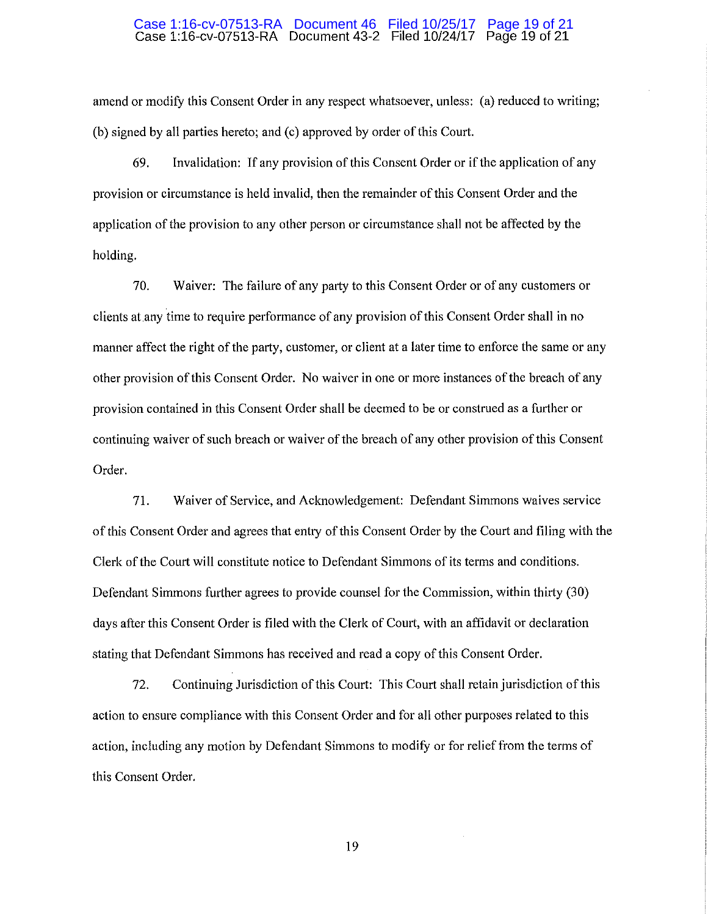#### Case 1:16-cv-07513-RA Document 43-2 Filed 10/24/17 Page 19 of 21 Case 1:16-cv-07513-RA Document 46 Filed 10/25/17 Page 19 of 21

amend or modify this Consent Order in any respect whatsoever, unless: (a) reduced to writing; (b) signed by all parties hereto; and (c) approved by order of this Court.

69. Invalidation: If any provision of this Consent Order or if the application of any provision or circumstance is held invalid, then the remainder of this Consent Order and the application of the provision to any other person or circumstance shall not be affected by the holding.

70. Waiver: The failure of any party to this Consent Order or of any customers or clients atany time to require performance of any provision of this Consent Order shall in no manner affect the right of the party, customer, or client at a later time to enforce the same or any other provision of this Consent Order. No waiver in one or more instances of the breach of any provision contained in this Consent Order shall be deemed to be or construed as a further or continuing waiver of such breach or waiver of the breach of any other provision of this Consent Order.

71. Waiver of Service, and Acknowledgement: Defendant Simmons waives service of this Consent Order and agrees that entry of this Consent Order by the Court and filing with th e Clerk of the Court will constitute notice to Defendant Simmons of its terms and conditions. Defendant Simmons further agrees to provide counsel for the Commission, within thirty (30) days after this Consent Order is filed with the Clerk of Court, with an affidavit or declaration stating that Defendant Simmons has received and read a copy of this Consent Order.

72. Continuing Jurisdiction of this Court: This Court shall retain jurisdiction of this action to ensure compliance with this Consent Order and for all other purposes related to this action, including any motion by Defendant Simmons to modify or for relief from the terms of this Consent Order.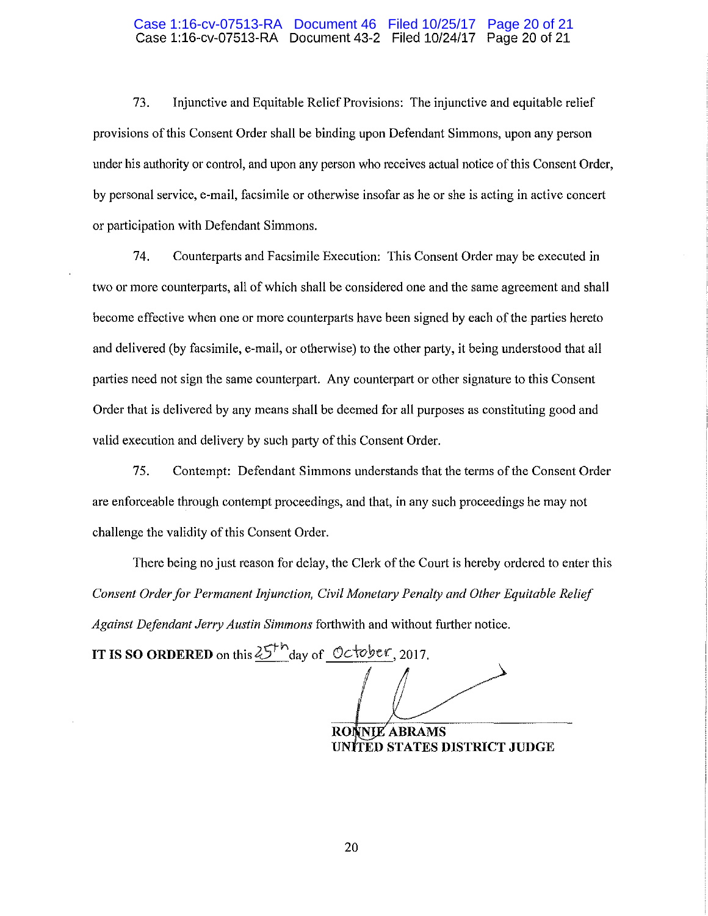#### Case 1:16-cv-07513-RA Document 43-2 Filed 10/24/17 Page 20 of 21 Case 1:16-cv-07513-RA Document 46 Filed 10/25/17 Page 20 of 21

73. Injunctive and Equitable Relief Provisions: The injunctive and equitable relief provisions of this Consent Order shall be binding upon Defendant Simmons, upon any person under his authority or control, and upon any person who receives actual notice of this Consent Order, by personal service, e-mail, facsimile or otherwise insofar as he or she is acting in active concert or participation with Defendant Simmons.

74. Counterparts and Facsimile Execution: This Consent Order may be executed in two or more counterparts, all of which shall be considered one and the same agreement and shall become effective when one or more counterparts have been signed by each of the parties hereto and delivered (by facsimile, e-mail, or otherwise) to the other party, it being understood that all parties need not sign the same counterpart. Any counterpart or other signature to this Consent Order that is delivered by any means shall be deemed for all purposes as constituting good and valid execution and delivery by such party of this Consent Order.

75. Contempt: Defendant Simmons understands that the terms of the Consent Order are enforceable through contempt proceedings, and that, in any such proceedings he may not challenge the validity of this Consent Order.

There being no just reason for delay, the Clerk of the Court is hereby ordered to enter this *Consent Order for Permanent Injunction, Civil Monetary Penalty and Other Equitable Relief Against Defendant Jerry Austin Simmons* forthwith and without further notice.

**IT IS SO ORDERED** on this  $25<sup>th</sup>$  day of October, 2017.

**RONNIE ABRAMS UN TED STATES DISTRICT JUDGE**